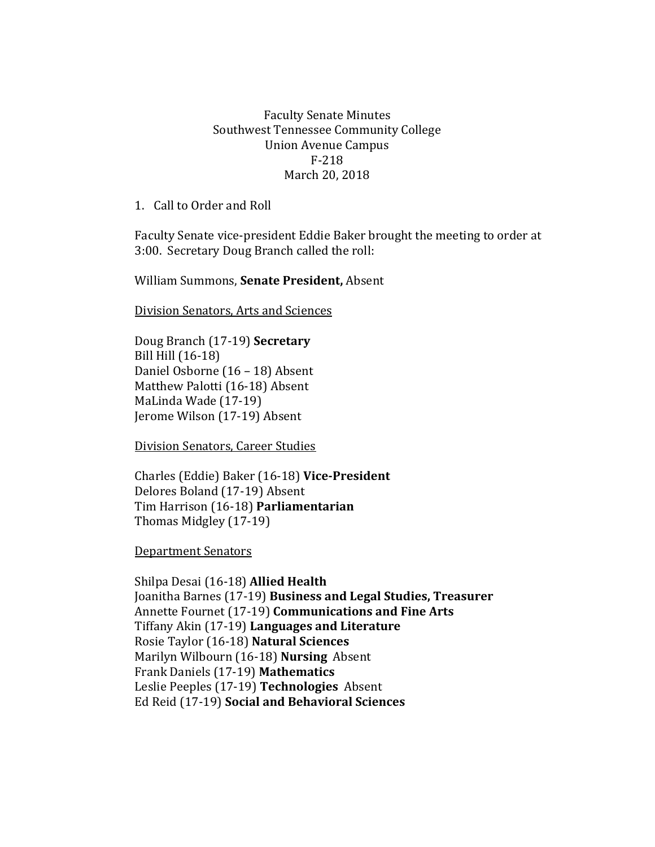## Faculty Senate Minutes Southwest Tennessee Community College Union Avenue Campus F-218 March 20, 2018

1. Call to Order and Roll

Faculty Senate vice-president Eddie Baker brought the meeting to order at 3:00. Secretary Doug Branch called the roll:

William Summons, **Senate President,** Absent

Division Senators, Arts and Sciences

Doug Branch (17-19) **Secretary** Bill Hill (16-18) Daniel Osborne (16 – 18) Absent Matthew Palotti (16-18) Absent MaLinda Wade (17-19) Jerome Wilson (17-19) Absent

Division Senators, Career Studies

Charles (Eddie) Baker (16-18) **Vice-President** Delores Boland (17-19) Absent Tim Harrison (16-18) **Parliamentarian** Thomas Midgley (17-19)

Department Senators

Shilpa Desai (16-18) **Allied Health** Joanitha Barnes (17-19) **Business and Legal Studies, Treasurer** Annette Fournet (17-19) **Communications and Fine Arts** Tiffany Akin (17-19) **Languages and Literature** Rosie Taylor (16-18) **Natural Sciences**  Marilyn Wilbourn (16-18) **Nursing** Absent Frank Daniels (17-19) **Mathematics** Leslie Peeples (17-19) **Technologies** Absent Ed Reid (17-19) **Social and Behavioral Sciences**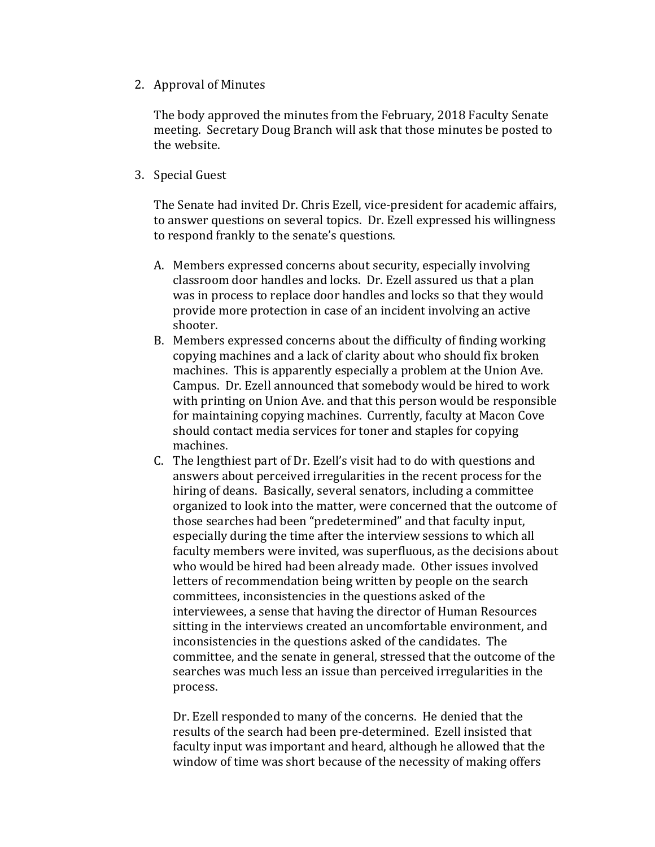2. Approval of Minutes

The body approved the minutes from the February, 2018 Faculty Senate meeting. Secretary Doug Branch will ask that those minutes be posted to the website.

3. Special Guest

The Senate had invited Dr. Chris Ezell, vice-president for academic affairs, to answer questions on several topics. Dr. Ezell expressed his willingness to respond frankly to the senate's questions.

- A. Members expressed concerns about security, especially involving classroom door handles and locks. Dr. Ezell assured us that a plan was in process to replace door handles and locks so that they would provide more protection in case of an incident involving an active shooter.
- B. Members expressed concerns about the difficulty of finding working copying machines and a lack of clarity about who should fix broken machines. This is apparently especially a problem at the Union Ave. Campus. Dr. Ezell announced that somebody would be hired to work with printing on Union Ave. and that this person would be responsible for maintaining copying machines. Currently, faculty at Macon Cove should contact media services for toner and staples for copying machines.
- C. The lengthiest part of Dr. Ezell's visit had to do with questions and answers about perceived irregularities in the recent process for the hiring of deans. Basically, several senators, including a committee organized to look into the matter, were concerned that the outcome of those searches had been "predetermined" and that faculty input, especially during the time after the interview sessions to which all faculty members were invited, was superfluous, as the decisions about who would be hired had been already made. Other issues involved letters of recommendation being written by people on the search committees, inconsistencies in the questions asked of the interviewees, a sense that having the director of Human Resources sitting in the interviews created an uncomfortable environment, and inconsistencies in the questions asked of the candidates. The committee, and the senate in general, stressed that the outcome of the searches was much less an issue than perceived irregularities in the process.

Dr. Ezell responded to many of the concerns. He denied that the results of the search had been pre-determined. Ezell insisted that faculty input was important and heard, although he allowed that the window of time was short because of the necessity of making offers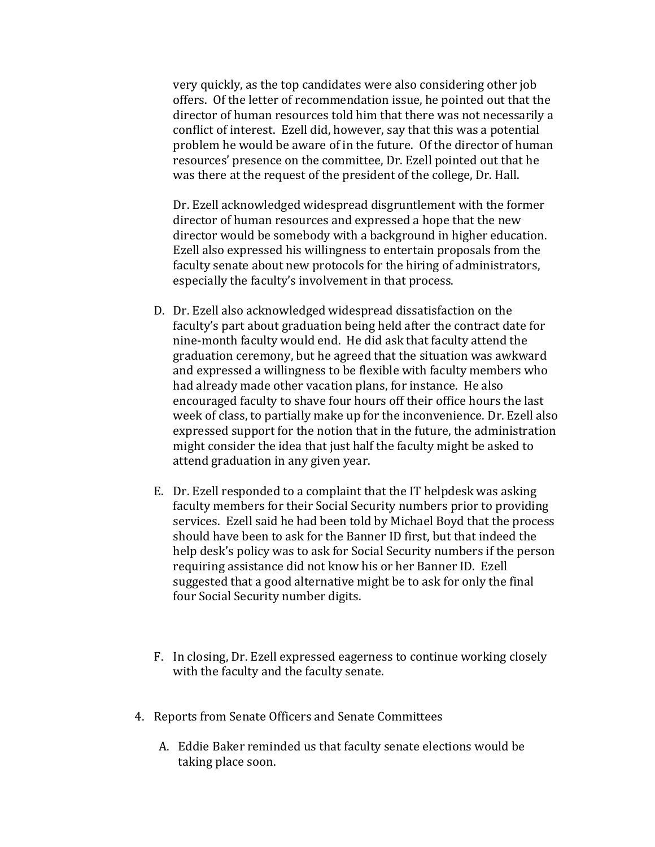very quickly, as the top candidates were also considering other job offers. Of the letter of recommendation issue, he pointed out that the director of human resources told him that there was not necessarily a conflict of interest. Ezell did, however, say that this was a potential problem he would be aware of in the future. Of the director of human resources' presence on the committee, Dr. Ezell pointed out that he was there at the request of the president of the college, Dr. Hall.

Dr. Ezell acknowledged widespread disgruntlement with the former director of human resources and expressed a hope that the new director would be somebody with a background in higher education. Ezell also expressed his willingness to entertain proposals from the faculty senate about new protocols for the hiring of administrators, especially the faculty's involvement in that process.

- D. Dr. Ezell also acknowledged widespread dissatisfaction on the faculty's part about graduation being held after the contract date for nine-month faculty would end. He did ask that faculty attend the graduation ceremony, but he agreed that the situation was awkward and expressed a willingness to be flexible with faculty members who had already made other vacation plans, for instance. He also encouraged faculty to shave four hours off their office hours the last week of class, to partially make up for the inconvenience. Dr. Ezell also expressed support for the notion that in the future, the administration might consider the idea that just half the faculty might be asked to attend graduation in any given year.
- E. Dr. Ezell responded to a complaint that the IT helpdesk was asking faculty members for their Social Security numbers prior to providing services. Ezell said he had been told by Michael Boyd that the process should have been to ask for the Banner ID first, but that indeed the help desk's policy was to ask for Social Security numbers if the person requiring assistance did not know his or her Banner ID. Ezell suggested that a good alternative might be to ask for only the final four Social Security number digits.
- F. In closing, Dr. Ezell expressed eagerness to continue working closely with the faculty and the faculty senate.
- 4. Reports from Senate Officers and Senate Committees
	- A. Eddie Baker reminded us that faculty senate elections would be taking place soon.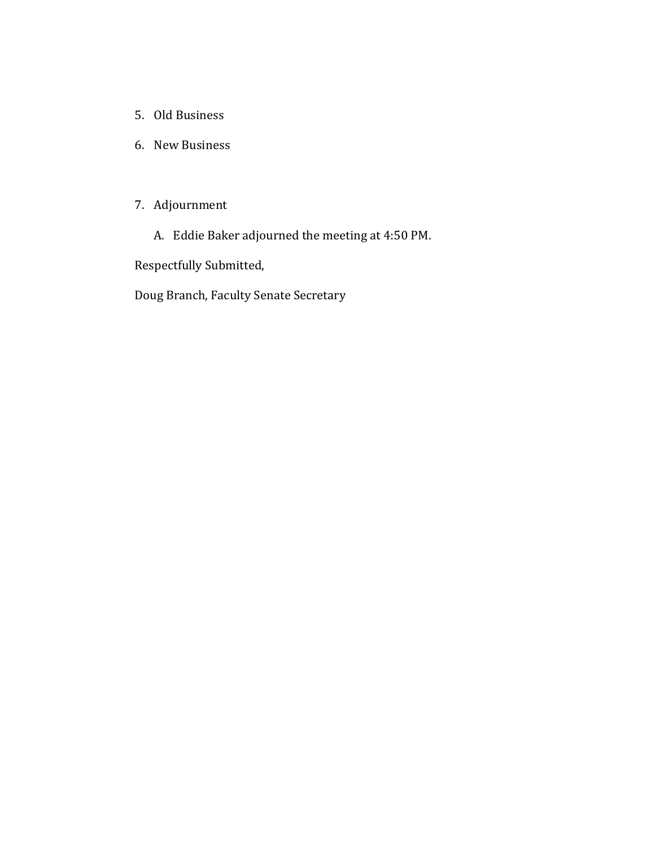- 5. Old Business
- 6. New Business

## 7. Adjournment

A. Eddie Baker adjourned the meeting at 4:50 PM.

Respectfully Submitted,

Doug Branch, Faculty Senate Secretary